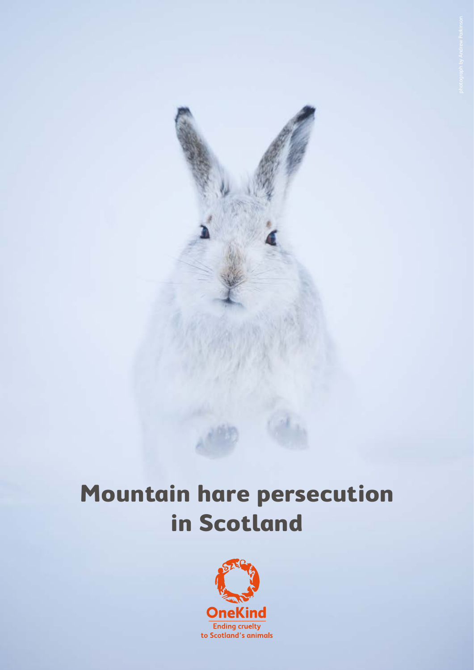

# **Mountain hare persecution in Scotland**

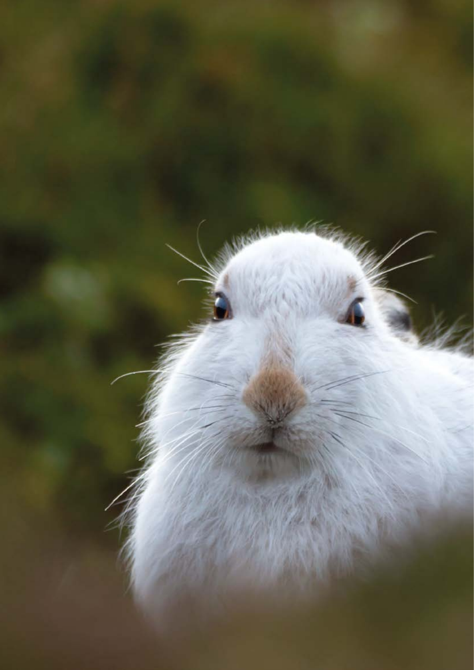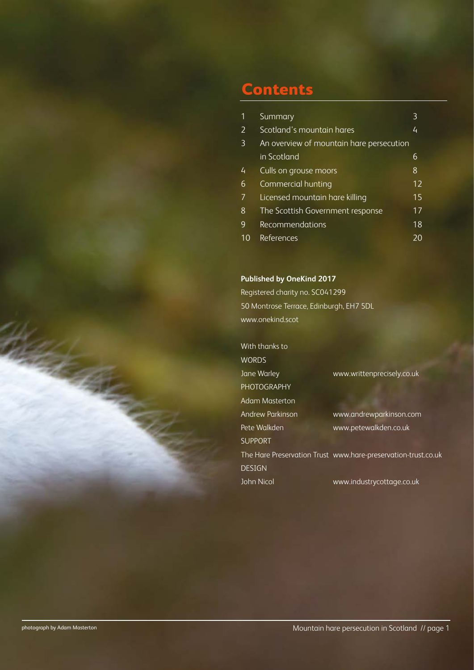# **Contents**

| 1              | Summary                                  | 3  |  |
|----------------|------------------------------------------|----|--|
| $\overline{2}$ | Scotland's mountain hares                | 4  |  |
| 3              | An overview of mountain hare persecution |    |  |
|                | in Scotland                              | 6  |  |
| 4              | Culls on grouse moors                    | 8  |  |
| 6              | Commercial hunting                       | 12 |  |
| 7              | Licensed mountain hare killing           | 15 |  |
| 8              | The Scottish Government response         | 17 |  |
| 9              | Recommendations                          | 18 |  |
| 10             | References                               |    |  |

# **Published by OneKind 2017**

Registered charity no. SC041299 50 Montrose Terrace, Edinburgh, EH7 5DL www.onekind.scot

With thanks to **WORDS** Jane Warley **Witter Warley WWW.writtenprecisely.co.uk** PHOTOGRAPHY Adam Masterton Andrew Parkinson www.andrewparkinson.com Pete Walkden www.petewalkden.co.uk **SUPPORT** The Hare Preservation Trust www.hare-preservation-trust.co.uk DESIGN John Nicol www.industrycottage.co.uk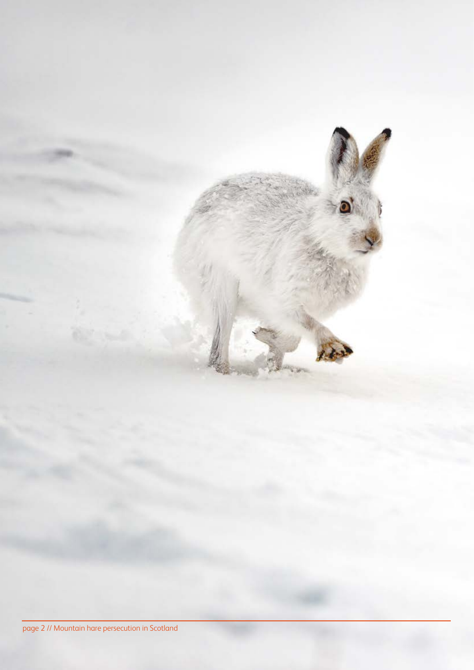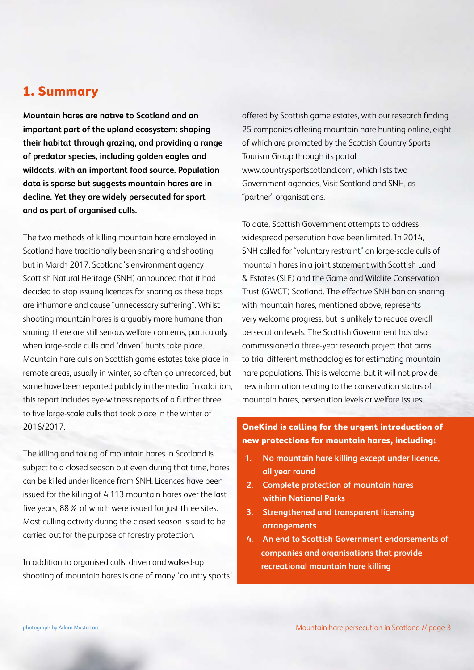# **1. Summary**

**Mountain hares are native to Scotland and an important part of the upland ecosystem: shaping their habitat through grazing, and providing a range of predator species, including golden eagles and wildcats, with an important food source. Population data is sparse but suggests mountain hares are in decline. Yet they are widely persecuted for sport and as part of organised culls.**

The two methods of killing mountain hare employed in Scotland have traditionally been snaring and shooting, but in March 2017, Scotland's environment agency Scottish Natural Heritage (SNH) announced that it had decided to stop issuing licences for snaring as these traps are inhumane and cause "unnecessary suffering". Whilst shooting mountain hares is arguably more humane than snaring, there are still serious welfare concerns, particularly when large-scale culls and 'driven' hunts take place. Mountain hare culls on Scottish game estates take place in remote areas, usually in winter, so often go unrecorded, but some have been reported publicly in the media. In addition, this report includes eye-witness reports of a further three to five large-scale culls that took place in the winter of 2016/2017.

The killing and taking of mountain hares in Scotland is subject to a closed season but even during that time, hares can be killed under licence from SNH. Licences have been issued for the killing of 4,113 mountain hares over the last five years, 88% of which were issued for just three sites. Most culling activity during the closed season is said to be carried out for the purpose of forestry protection.

In addition to organised culls, driven and walked-up shooting of mountain hares is one of many 'country sports' offered by Scottish game estates, with our research finding 25 companies offering mountain hare hunting online, eight of which are promoted by the Scottish Country Sports Tourism Group through its portal www.countrysportscotland.com, which lists two Government agencies, Visit Scotland and SNH, as "partner" organisations.

To date, Scottish Government attempts to address widespread persecution have been limited. In 2014, SNH called for "voluntary restraint" on large-scale culls of mountain hares in a joint statement with Scottish Land & Estates (SLE) and the Game and Wildlife Conservation Trust (GWCT) Scotland. The effective SNH ban on snaring with mountain hares, mentioned above, represents very welcome progress, but is unlikely to reduce overall persecution levels. The Scottish Government has also commissioned a three-year research project that aims to trial different methodologies for estimating mountain hare populations. This is welcome, but it will not provide new information relating to the conservation status of mountain hares, persecution levels or welfare issues.

# **OneKind is calling for the urgent introduction of new protections for mountain hares, including:**

- **1. No mountain hare killing except under licence, all year round**
- **2. Complete protection of mountain hares within National Parks**
- **3. Strengthened and transparent licensing arrangements**
- **4. An end to Scottish Government endorsements of companies and organisations that provide recreational mountain hare killing**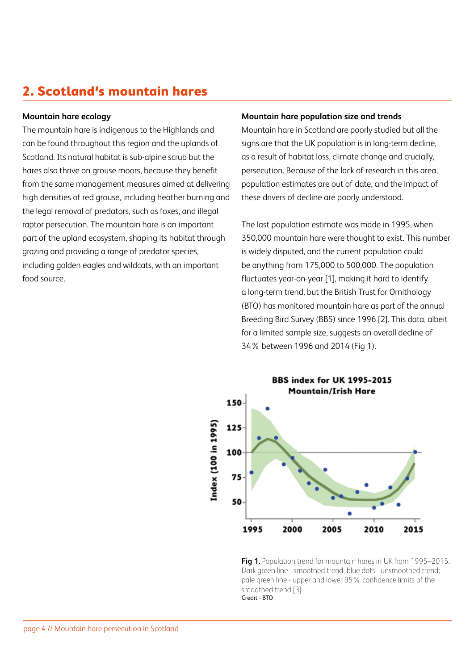# **2. Scotland's mountain hares**

### **Mountain hare ecology**

The mountain hare is indigenous to the Highlands and can be found throughout this region and the uplands of Scotland. Its natural habitat is sub-alpine scrub but the hares also thrive on grouse moors, because they benefit from the same management measures aimed at delivering high densities of red grouse, including heather burning and the legal removal of predators, such as foxes, and illegal raptor persecution. The mountain hare is an important part of the upland ecosystem, shaping its habitat through grazing and providing a range of predator species, including golden eagles and wildcats, with an important food source.

### **Mountain hare population size and trends**

Mountain hare in Scotland are poorly studied but all the signs are that the UK population is in long-term decline, as a result of habitat loss, climate change and crucially, persecution. Because of the lack of research in this area, population estimates are out of date, and the impact of these drivers of decline are poorly understood.

The last population estimate was made in 1995, when 350,000 mountain hare were thought to exist. This number is widely disputed, and the current population could be anything from 175,000 to 500,000. The population fluctuates year-on-year [1], making it hard to identify a long-term trend, but the British Trust for Ornithology (BTO) has monitored mountain hare as part of the annual Breeding Bird Survey (BBS) since 1996 [2]. This data, albeit for a limited sample size, suggests an overall decline of 34% between 1996 and 2014 (Fig 1).



**Fig 1.** Population trend for mountain hares in UK from 1995–2015. Dark green line - smoothed trend; blue dots - unsmoothed trend; pale green line - upper and lower 95% confidence limits of the smoothed trend [3]. Credit - BTO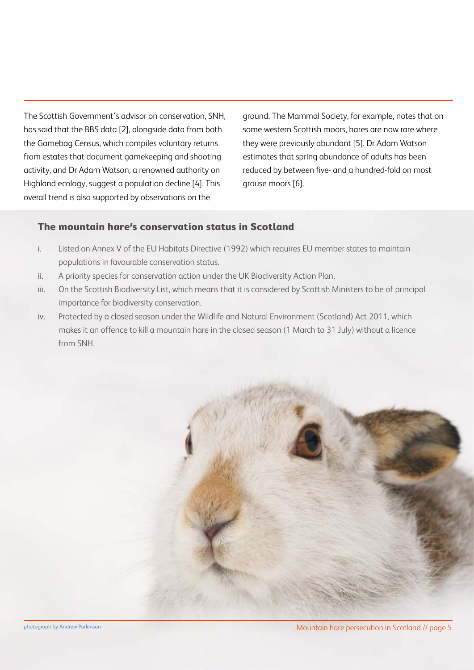The Scottish Government's advisor on conservation, SNH, has said that the BBS data [2], alongside data from both the Gamebag Census, which compiles voluntary returns from estates that document gamekeeping and shooting activity, and Dr Adam Watson, a renowned authority on Highland ecology, suggest a population decline [4]. This overall trend is also supported by observations on the

ground. The Mammal Society, for example, notes that on some western Scottish moors, hares are now rare where they were previously abundant [5]. Dr Adam Watson estimates that spring abundance of adults has been reduced by between five- and a hundred-fold on most grouse moors [6].

# **The mountain hare's conservation status in Scotland**

- i. Listed on Annex V of the EU Habitats Directive (1992) which requires EU member states to maintain populations in favourable conservation status.
- ii. A priority species for conservation action under the UK Biodiversity Action Plan.
- iii. On the Scottish Biodiversity List, which means that it is considered by Scottish Ministers to be of principal importance for biodiversity conservation.
- iv. Protected by a closed season under the Wildlife and Natural Environment (Scotland) Act 2011, which makes it an offence to kill a mountain hare in the closed season (1 March to 31 July) without a licence from SNH.

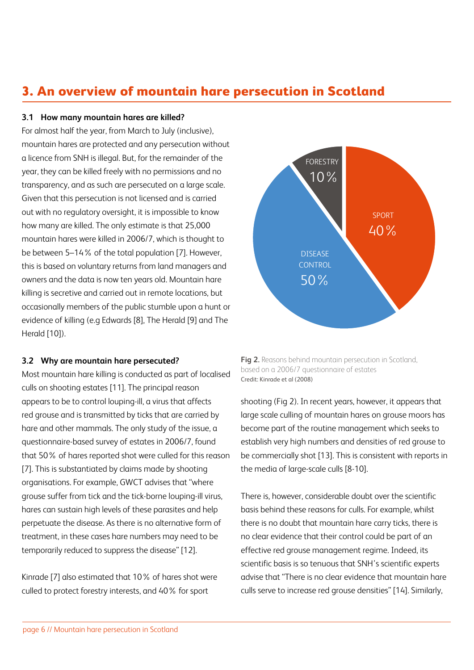# **3. An overview of mountain hare persecution in Scotland**

### **3.1 How many mountain hares are killed?**

For almost half the year, from March to July (inclusive), mountain hares are protected and any persecution without a licence from SNH is illegal. But, for the remainder of the year, they can be killed freely with no permissions and no transparency, and as such are persecuted on a large scale. Given that this persecution is not licensed and is carried out with no regulatory oversight, it is impossible to know how many are killed. The only estimate is that 25,000 mountain hares were killed in 2006/7, which is thought to be between 5–14% of the total population [7]. However, this is based on voluntary returns from land managers and owners and the data is now ten years old. Mountain hare killing is secretive and carried out in remote locations, but occasionally members of the public stumble upon a hunt or evidence of killing (e.g Edwards [8], The Herald [9] and The Herald [10]).

# **3.2 Why are mountain hare persecuted?**

Most mountain hare killing is conducted as part of localised culls on shooting estates [11]. The principal reason appears to be to control louping-ill, a virus that affects red grouse and is transmitted by ticks that are carried by hare and other mammals. The only study of the issue, a questionnaire-based survey of estates in 2006/7, found that 50% of hares reported shot were culled for this reason [7]. This is substantiated by claims made by shooting organisations. For example, GWCT advises that "where grouse suffer from tick and the tick-borne louping-ill virus, hares can sustain high levels of these parasites and help perpetuate the disease. As there is no alternative form of treatment, in these cases hare numbers may need to be temporarily reduced to suppress the disease" [12].

Kinrade [7] also estimated that 10% of hares shot were culled to protect forestry interests, and 40% for sport





shooting (Fig 2). In recent years, however, it appears that large scale culling of mountain hares on grouse moors has become part of the routine management which seeks to establish very high numbers and densities of red grouse to be commercially shot [13]. This is consistent with reports in the media of large-scale culls [8-10].

There is, however, considerable doubt over the scientific basis behind these reasons for culls. For example, whilst there is no doubt that mountain hare carry ticks, there is no clear evidence that their control could be part of an effective red grouse management regime. Indeed, its scientific basis is so tenuous that SNH's scientific experts advise that "There is no clear evidence that mountain hare culls serve to increase red grouse densities" [14]. Similarly,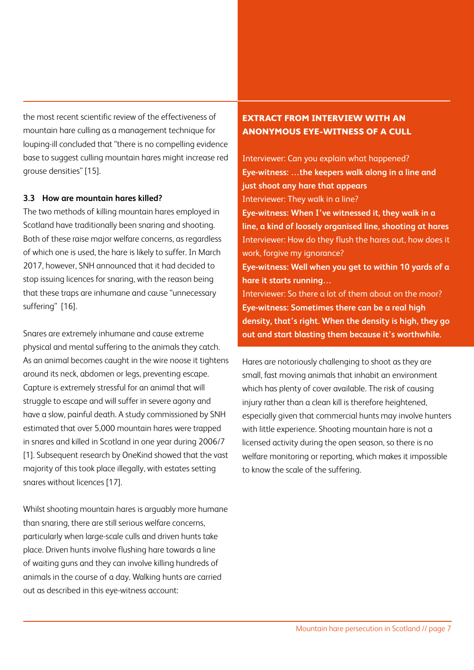the most recent scientific review of the effectiveness of mountain hare culling as a management technique for louping-ill concluded that "there is no compelling evidence base to suggest culling mountain hares might increase red grouse densities" [15].

# **3.3 How are mountain hares killed?**

The two methods of killing mountain hares employed in Scotland have traditionally been snaring and shooting. Both of these raise major welfare concerns, as regardless of which one is used, the hare is likely to suffer. In March 2017, however, SNH announced that it had decided to stop issuing licences for snaring, with the reason being that these traps are inhumane and cause "unnecessary suffering" [16].

Snares are extremely inhumane and cause extreme physical and mental suffering to the animals they catch. As an animal becomes caught in the wire noose it tightens around its neck, abdomen or legs, preventing escape. Capture is extremely stressful for an animal that will struggle to escape and will suffer in severe agony and have a slow, painful death. A study commissioned by SNH estimated that over 5,000 mountain hares were trapped in snares and killed in Scotland in one year during 2006/7 [1]. Subsequent research by OneKind showed that the vast majority of this took place illegally, with estates setting snares without licences [17].

Whilst shooting mountain hares is arguably more humane than snaring, there are still serious welfare concerns, particularly when large-scale culls and driven hunts take place. Driven hunts involve flushing hare towards a line of waiting guns and they can involve killing hundreds of animals in the course of a day. Walking hunts are carried out as described in this eye-witness account:

# **EXTRACT FROM INTERVIEW WITH AN ANONYMOUS EYE-WITNESS OF A CULL**

Interviewer: Can you explain what happened? **Eye-witness: …the keepers walk along in a line and just shoot any hare that appears** Interviewer: They walk in a line? **Eye-witness: When I've witnessed it, they walk in a line, a kind of loosely organised line, shooting at hares** Interviewer: How do they flush the hares out, how does it work, forgive my ignorance? **Eye-witness: Well when you get to within 10 yards of a hare it starts running…** Interviewer: So there a lot of them about on the moor? **Eye-witness: Sometimes there can be a real high density, that's right. When the density is high, they go out and start blasting them because it's worthwhile.**

Hares are notoriously challenging to shoot as they are small, fast moving animals that inhabit an environment which has plenty of cover available. The risk of causing injury rather than a clean kill is therefore heightened, especially given that commercial hunts may involve hunters with little experience. Shooting mountain hare is not a licensed activity during the open season, so there is no welfare monitoring or reporting, which makes it impossible to know the scale of the suffering.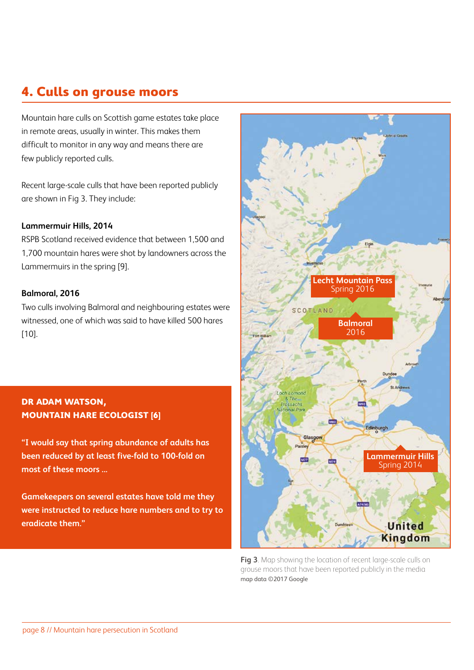# **4. Culls on grouse moors**

Mountain hare culls on Scottish game estates take place in remote areas, usually in winter. This makes them difficult to monitor in any way and means there are few publicly reported culls.

Recent large-scale culls that have been reported publicly are shown in Fig 3. They include:

# **Lammermuir Hills, 2014**

RSPB Scotland received evidence that between 1,500 and 1,700 mountain hares were shot by landowners across the Lammermuirs in the spring [9].

# **Balmoral, 2016**

Two culls involving Balmoral and neighbouring estates were witnessed, one of which was said to have killed 500 hares  $[10]$ .

# **DR ADAM WATSON, MOUNTAIN HARE ECOLOGIST [6]**

**"I would say that spring abundance of adults has been reduced by at least five-fold to 100-fold on most of these moors ...** 

**Gamekeepers on several estates have told me they were instructed to reduce hare numbers and to try to eradicate them."** 



**Fig 3**. Map showing the location of recent large-scale culls on grouse moors that have been reported publicly in the media map data ©2017 Google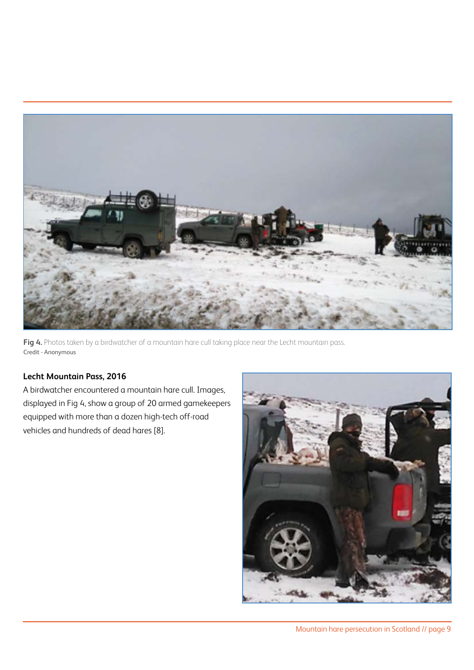

Fig 4. Photos taken by a birdwatcher of a mountain hare cull taking place near the Lecht mountain pass. Credit - Anonymous

# **Lecht Mountain Pass, 2016**

A birdwatcher encountered a mountain hare cull. Images, displayed in Fig 4, show a group of 20 armed gamekeepers equipped with more than a dozen high-tech off-road vehicles and hundreds of dead hares [8].

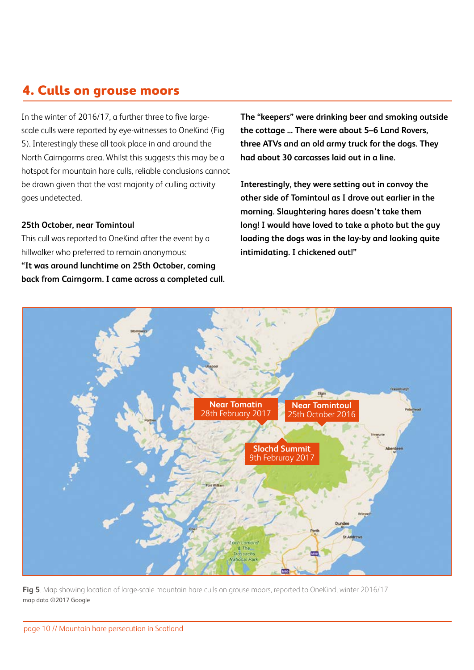# **4. Culls on grouse moors**

In the winter of 2016/17, a further three to five largescale culls were reported by eye-witnesses to OneKind (Fig 5). Interestingly these all took place in and around the North Cairngorms area. Whilst this suggests this may be a hotspot for mountain hare culls, reliable conclusions cannot be drawn given that the vast majority of culling activity goes undetected.

# **25th October, near Tomintoul**

This cull was reported to OneKind after the event by a hillwalker who preferred to remain anonymous: **"It was around lunchtime on 25th October, coming back from Cairngorm. I came across a completed cull.**  **The "keepers" were drinking beer and smoking outside the cottage ... There were about 5–6 Land Rovers, three ATVs and an old army truck for the dogs. They had about 30 carcasses laid out in a line.** 

**Interestingly, they were setting out in convoy the other side of Tomintoul as I drove out earlier in the morning. Slaughtering hares doesn't take them long! I would have loved to take a photo but the guy loading the dogs was in the lay-by and looking quite intimidating. I chickened out!"**



**Fig 5.** Map showing location of large-scale mountain hare culls on grouse moors, reported to OneKind, winter 2016/17 map data ©2017 Google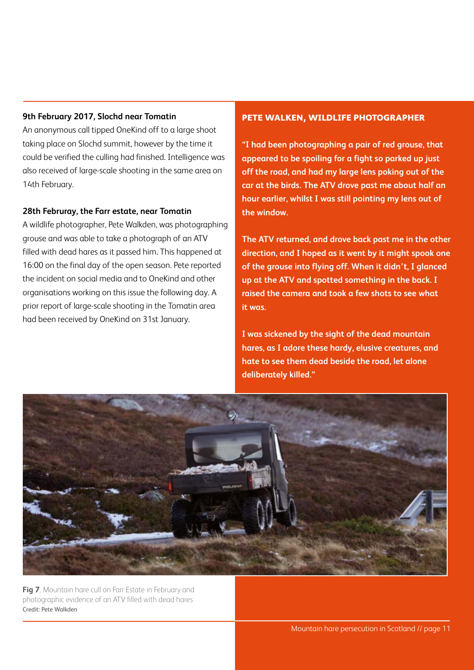# **9th February 2017, Slochd near Tomatin**

An anonymous call tipped OneKind off to a large shoot taking place on Slochd summit, however by the time it could be verified the culling had finished. Intelligence was also received of large-scale shooting in the same area on 14th February.

# **28th Februray, the Farr estate, near Tomatin**

A wildlife photographer, Pete Walkden, was photographing grouse and was able to take a photograph of an ATV filled with dead hares as it passed him. This happened at 16:00 on the final day of the open season. Pete reported the incident on social media and to OneKind and other organisations working on this issue the following day. A prior report of large-scale shooting in the Tomatin area had been received by OneKind on 31st January.

### **PETE WALKEN, WILDLIFE PHOTOGRAPHER**

**"I had been photographing a pair of red grouse, that appeared to be spoiling for a fight so parked up just off the road, and had my large lens poking out of the car at the birds. The ATV drove past me about half an hour earlier, whilst I was still pointing my lens out of the window.**

**The ATV returned, and drove back past me in the other direction, and I hoped as it went by it might spook one of the grouse into flying off. When it didn't, I glanced up at the ATV and spotted something in the back. I raised the camera and took a few shots to see what it was.**

**I was sickened by the sight of the dead mountain hares, as I adore these hardy, elusive creatures, and hate to see them dead beside the road, let alone deliberately killed."**



**Fig 7**. Mountain hare cull on Farr Estate in February and photographic evidence of an ATV filled with dead hares Credit: Pete Walkden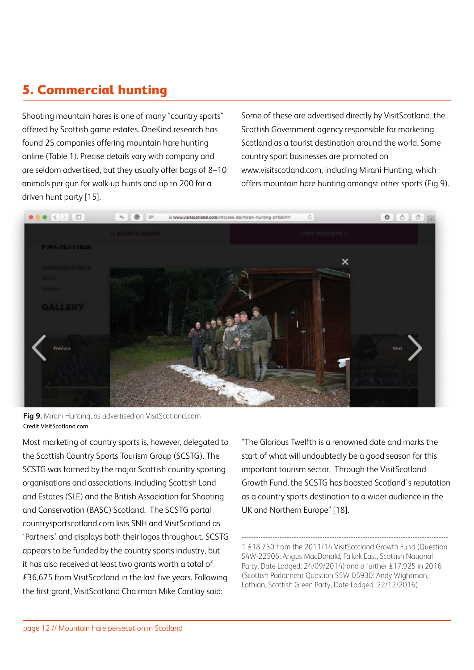# **5. Commercial hunting**

Shooting mountain hares is one of many "country sports" offered by Scottish game estates. OneKind research has found 25 companies offering mountain hare hunting online (Table 1). Precise details vary with company and are seldom advertised, but they usually offer bags of 8–10 animals per gun for walk-up hunts and up to 200 for a driven hunt party [15].

Some of these are advertised directly by VisitScotland, the Scottish Government agency responsible for marketing Scotland as a tourist destination around the world. Some country sport businesses are promoted on www.visitscotland.com, including Mirani Hunting, which offers mountain hare hunting amongst other sports (Fig 9).



**Fig 9.** Mirani Hunting, as advertised on VisitScotland.com Credit VisitScotland.com

Most marketing of country sports is, however, delegated to the Scottish Country Sports Tourism Group (SCSTG). The SCSTG was formed by the major Scottish country sporting organisations and associations, including Scottish Land and Estates (SLE) and the British Association for Shooting and Conservation (BASC) Scotland. The SCSTG portal countrysportscotland.com lists SNH and VisitScotland as 'Partners' and displays both their logos throughout. SCSTG appears to be funded by the country sports industry, but it has also received at least two grants worth a total of £36,675 from VisitScotland in the last five years. Following the first grant, VisitScotland Chairman Mike Cantlay said:

"The Glorious Twelfth is a renowned date and marks the start of what will undoubtedly be a good season for this important tourism sector. Through the VisitScotland Growth Fund, the SCSTG has boosted Scotland's reputation as a country sports destination to a wider audience in the UK and Northern Europe" [18].

--------------------------------------------------------------------------------------- 1 £18,750 from the 2011/14 VisitScotland Growth Fund (Question S4W-22506: Angus MacDonald, Falkirk East, Scottish National Party, Date Lodged: 24/09/2014) and a further £17,925 in 2016 (Scottish Parliament Question S5W-05930: Andy Wightman, Lothian, Scottish Green Party, Date Lodged: 22/12/2016)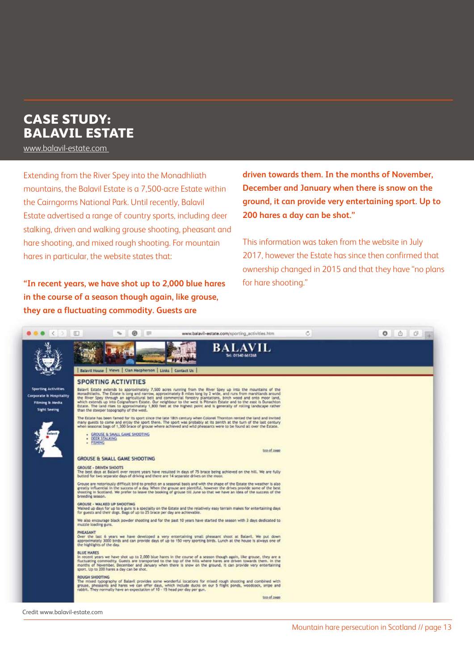# **CASE STUDY: BALAVIL ESTATE**

www.balavil-estate.com

Extending from the River Spey into the Monadhliath mountains, the Balavil Estate is a 7,500-acre Estate within the Cairngorms National Park. Until recently, Balavil Estate advertised a range of country sports, including deer stalking, driven and walking grouse shooting, pheasant and hare shooting, and mixed rough shooting. For mountain hares in particular, the website states that:

**"In recent years, we have shot up to 2,000 blue hares in the course of a season though again, like grouse, they are a fluctuating commodity. Guests are** 

**driven towards them. In the months of November, December and January when there is snow on the ground, it can provide very entertaining sport. Up to 200 hares a day can be shot."** 

This information was taken from the website in July 2017, however the Estate has since then confirmed that ownership changed in 2015 and that they have "no plans for hare shooting."

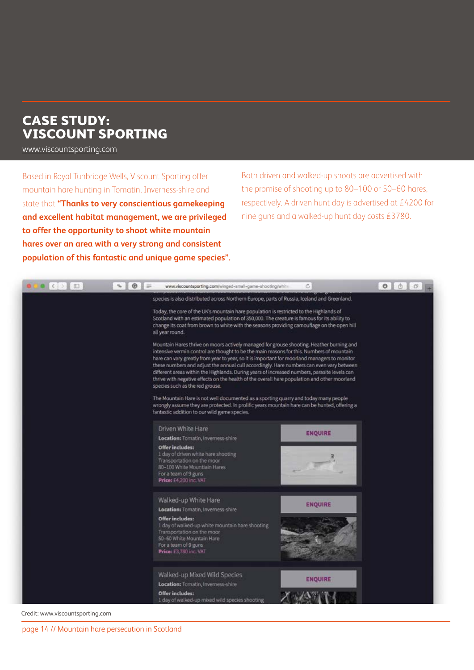# **CASE STUDY: VISCOUNT SPORTING**

www.viscountsporting.com

Based in Royal Tunbridge Wells, Viscount Sporting offer mountain hare hunting in Tomatin, Inverness-shire and state that **"Thanks to very conscientious gamekeeping and excellent habitat management, we are privileged to offer the opportunity to shoot white mountain hares over an area with a very strong and consistent population of this fantastic and unique game species".**

Both driven and walked-up shoots are advertised with the promise of shooting up to 80–100 or 50–60 hares, respectively. A driven hunt day is advertised at £4200 for nine guns and a walked-up hunt day costs £3780.



Credit: www.viscountsporting.com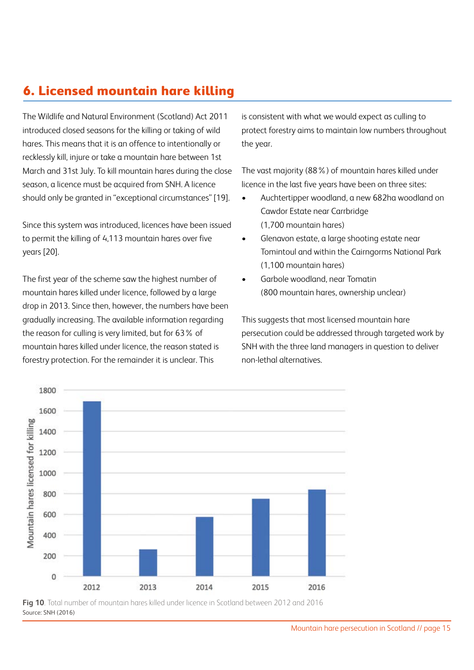# **6. Licensed mountain hare killing**

The Wildlife and Natural Environment (Scotland) Act 2011 introduced closed seasons for the killing or taking of wild hares. This means that it is an offence to intentionally or recklessly kill, injure or take a mountain hare between 1st March and 31st July. To kill mountain hares during the close season, a licence must be acquired from SNH. A licence should only be granted in "exceptional circumstances" [19].

Since this system was introduced, licences have been issued to permit the killing of 4,113 mountain hares over five years [20].

The first year of the scheme saw the highest number of mountain hares killed under licence, followed by a large drop in 2013. Since then, however, the numbers have been gradually increasing. The available information regarding the reason for culling is very limited, but for 63% of mountain hares killed under licence, the reason stated is forestry protection. For the remainder it is unclear. This

is consistent with what we would expect as culling to protect forestry aims to maintain low numbers throughout the year.

The vast majority (88%) of mountain hares killed under licence in the last five years have been on three sites:

- Auchtertipper woodland, a new 682ha woodland on Cawdor Estate near Carrbridge (1,700 mountain hares)
- Glenavon estate, a large shooting estate near Tomintoul and within the Cairngorms National Park (1,100 mountain hares)
- Garbole woodland, near Tomatin (800 mountain hares, ownership unclear)

This suggests that most licensed mountain hare persecution could be addressed through targeted work by SNH with the three land managers in question to deliver non-lethal alternatives.



**Fig 10**. Total number of mountain hares killed under licence in Scotland between 2012 and 2016 Source: SNH (2016)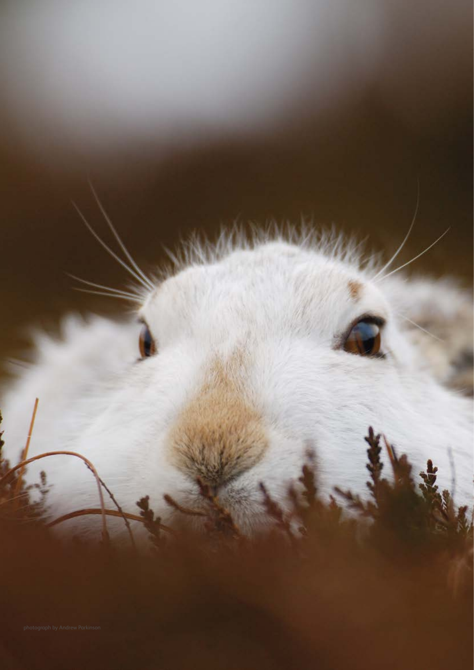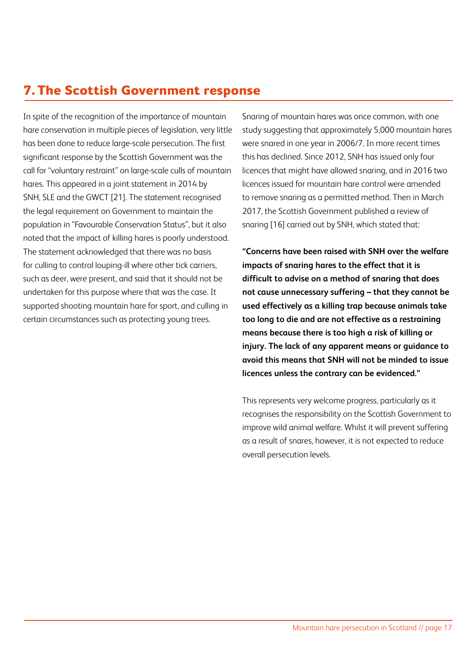# **7. The Scottish Government response**

In spite of the recognition of the importance of mountain hare conservation in multiple pieces of legislation, very little has been done to reduce large-scale persecution. The first significant response by the Scottish Government was the call for "voluntary restraint" on large-scale culls of mountain hares. This appeared in a joint statement in 2014 by SNH, SLE and the GWCT [21]. The statement recognised the legal requirement on Government to maintain the population in "Favourable Conservation Status", but it also noted that the impact of killing hares is poorly understood. The statement acknowledged that there was no basis for culling to control louping-ill where other tick carriers, such as deer, were present, and said that it should not be undertaken for this purpose where that was the case. It supported shooting mountain hare for sport, and culling in certain circumstances such as protecting young trees.

Snaring of mountain hares was once common, with one study suggesting that approximately 5,000 mountain hares were snared in one year in 2006/7. In more recent times this has declined. Since 2012, SNH has issued only four licences that might have allowed snaring, and in 2016 two licences issued for mountain hare control were amended to remove snaring as a permitted method. Then in March 2017, the Scottish Government published a review of snaring [16] carried out by SNH, which stated that:

**"Concerns have been raised with SNH over the welfare impacts of snaring hares to the effect that it is difficult to advise on a method of snaring that does not cause unnecessary suffering – that they cannot be used effectively as a killing trap because animals take too long to die and are not effective as a restraining means because there is too high a risk of killing or injury. The lack of any apparent means or guidance to avoid this means that SNH will not be minded to issue licences unless the contrary can be evidenced."**

This represents very welcome progress, particularly as it recognises the responsibility on the Scottish Government to improve wild animal welfare. Whilst it will prevent suffering as a result of snares, however, it is not expected to reduce overall persecution levels.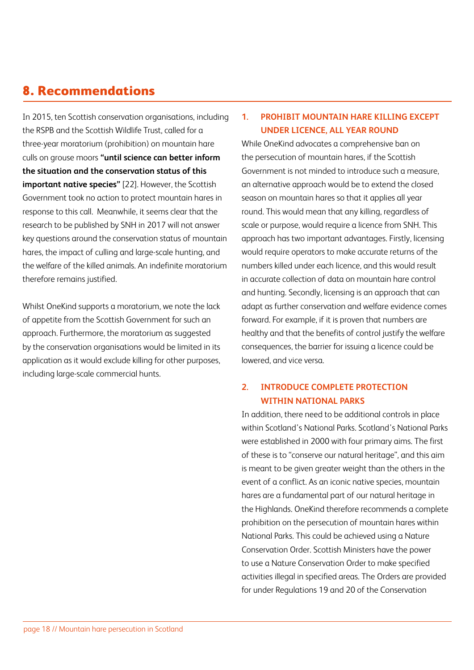# **8. Recommendations**

In 2015, ten Scottish conservation organisations, including the RSPB and the Scottish Wildlife Trust, called for a three-year moratorium (prohibition) on mountain hare culls on grouse moors **"until science can better inform the situation and the conservation status of this important native species"** [22]. However, the Scottish Government took no action to protect mountain hares in response to this call. Meanwhile, it seems clear that the research to be published by SNH in 2017 will not answer key questions around the conservation status of mountain hares, the impact of culling and large-scale hunting, and the welfare of the killed animals. An indefinite moratorium therefore remains justified.

Whilst OneKind supports a moratorium, we note the lack of appetite from the Scottish Government for such an approach. Furthermore, the moratorium as suggested by the conservation organisations would be limited in its application as it would exclude killing for other purposes, including large-scale commercial hunts.

# **1. PROHIBIT MOUNTAIN HARE KILLING EXCEPT UNDER LICENCE, ALL YEAR ROUND**

While OneKind advocates a comprehensive ban on the persecution of mountain hares, if the Scottish Government is not minded to introduce such a measure, an alternative approach would be to extend the closed season on mountain hares so that it applies all year round. This would mean that any killing, regardless of scale or purpose, would require a licence from SNH. This approach has two important advantages. Firstly, licensing would require operators to make accurate returns of the numbers killed under each licence, and this would result in accurate collection of data on mountain hare control and hunting. Secondly, licensing is an approach that can adapt as further conservation and welfare evidence comes forward. For example, if it is proven that numbers are healthy and that the benefits of control justify the welfare consequences, the barrier for issuing a licence could be lowered, and vice versa.

# **2. INTRODUCE COMPLETE PROTECTION WITHIN NATIONAL PARKS**

In addition, there need to be additional controls in place within Scotland's National Parks. Scotland's National Parks were established in 2000 with four primary aims. The first of these is to "conserve our natural heritage", and this aim is meant to be given greater weight than the others in the event of a conflict. As an iconic native species, mountain hares are a fundamental part of our natural heritage in the Highlands. OneKind therefore recommends a complete prohibition on the persecution of mountain hares within National Parks. This could be achieved using a Nature Conservation Order. Scottish Ministers have the power to use a Nature Conservation Order to make specified activities illegal in specified areas. The Orders are provided for under Regulations 19 and 20 of the Conservation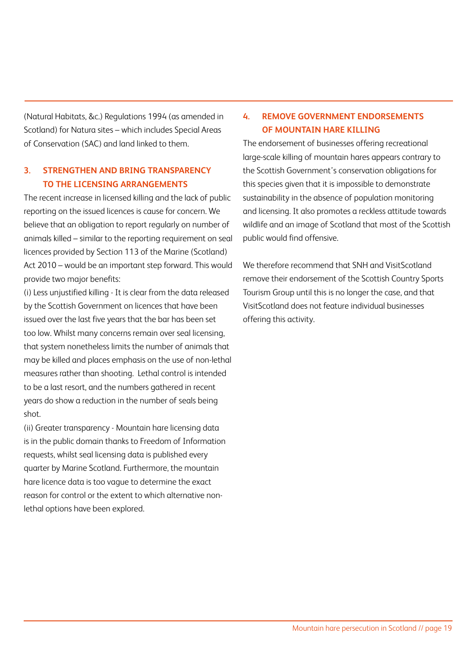(Natural Habitats, &c.) Regulations 1994 (as amended in Scotland) for Natura sites – which includes Special Areas of Conservation (SAC) and land linked to them.

# **3. STRENGTHEN AND BRING TRANSPARENCY TO THE LICENSING ARRANGEMENTS**

The recent increase in licensed killing and the lack of public reporting on the issued licences is cause for concern. We believe that an obligation to report regularly on number of animals killed – similar to the reporting requirement on seal licences provided by Section 113 of the Marine (Scotland) Act 2010 – would be an important step forward. This would provide two major benefits:

(i) Less unjustified killing - It is clear from the data released by the Scottish Government on licences that have been issued over the last five years that the bar has been set too low. Whilst many concerns remain over seal licensing, that system nonetheless limits the number of animals that may be killed and places emphasis on the use of non-lethal measures rather than shooting. Lethal control is intended to be a last resort, and the numbers gathered in recent years do show a reduction in the number of seals being shot.

(ii) Greater transparency - Mountain hare licensing data is in the public domain thanks to Freedom of Information requests, whilst seal licensing data is published every quarter by Marine Scotland. Furthermore, the mountain hare licence data is too vague to determine the exact reason for control or the extent to which alternative nonlethal options have been explored.

# **4. REMOVE GOVERNMENT ENDORSEMENTS OF MOUNTAIN HARE KILLING**

The endorsement of businesses offering recreational large-scale killing of mountain hares appears contrary to the Scottish Government's conservation obligations for this species given that it is impossible to demonstrate sustainability in the absence of population monitoring and licensing. It also promotes a reckless attitude towards wildlife and an image of Scotland that most of the Scottish public would find offensive.

We therefore recommend that SNH and VisitScotland remove their endorsement of the Scottish Country Sports Tourism Group until this is no longer the case, and that VisitScotland does not feature individual businesses offering this activity.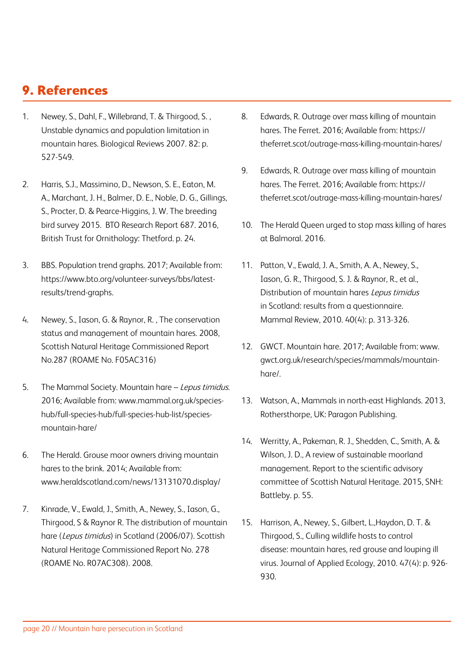# **9. References**

- 1. Newey, S., Dahl, F., Willebrand, T. & Thirgood, S. , Unstable dynamics and population limitation in mountain hares. Biological Reviews 2007. 82: p. 527-549.
- 2. Harris, S.J., Massimino, D., Newson, S. E., Eaton, M. A., Marchant, J. H., Balmer, D. E., Noble, D. G., Gillings, S., Procter, D. & Pearce-Higgins, J. W. The breeding bird survey 2015. BTO Research Report 687. 2016, British Trust for Ornithology: Thetford. p. 24.
- 3. BBS. Population trend graphs. 2017; Available from: https://www.bto.org/volunteer-surveys/bbs/latestresults/trend-graphs.
- 4. Newey, S., Iason, G. & Raynor, R. , The conservation status and management of mountain hares. 2008, Scottish Natural Heritage Commissioned Report No.287 (ROAME No. F05AC316)
- 5. The Mammal Society. Mountain hare Lepus timidus. 2016; Available from: www.mammal.org.uk/specieshub/full-species-hub/full-species-hub-list/speciesmountain-hare/
- 6. The Herald. Grouse moor owners driving mountain hares to the brink. 2014; Available from: www.heraldscotland.com/news/13131070.display/
- 7. Kinrade, V., Ewald, J., Smith, A., Newey, S., Iason, G., Thirgood, S & Raynor R. The distribution of mountain hare (Lepus timidus) in Scotland (2006/07). Scottish Natural Heritage Commissioned Report No. 278 (ROAME No. R07AC308). 2008.
- 8. Edwards, R. Outrage over mass killing of mountain hares. The Ferret. 2016; Available from: https:// theferret.scot/outrage-mass-killing-mountain-hares/
- 9. Edwards, R. Outrage over mass killing of mountain hares. The Ferret. 2016; Available from: https:// theferret.scot/outrage-mass-killing-mountain-hares/
- 10. The Herald Queen urged to stop mass killing of hares at Balmoral. 2016.
- 11. Patton, V., Ewald, J. A., Smith, A. A., Newey, S., Iason, G. R., Thirgood, S. J. & Raynor, R., et al., Distribution of mountain hares Lepus timidus in Scotland: results from a questionnaire. Mammal Review, 2010. 40(4): p. 313-326.
- 12. GWCT. Mountain hare. 2017; Available from: www. gwct.org.uk/research/species/mammals/mountainhare/.
- 13. Watson, A., Mammals in north-east Highlands. 2013, Rothersthorpe, UK: Paragon Publishing.
- 14. Werritty, A., Pakeman, R. J., Shedden, C., Smith, A. & Wilson, J. D., A review of sustainable moorland management. Report to the scientific advisory committee of Scottish Natural Heritage. 2015, SNH: Battleby. p. 55.
- 15. Harrison, A., Newey, S., Gilbert, L.,Haydon, D. T. & Thirgood, S., Culling wildlife hosts to control disease: mountain hares, red grouse and louping ill virus. Journal of Applied Ecology, 2010. 47(4): p. 926- 930.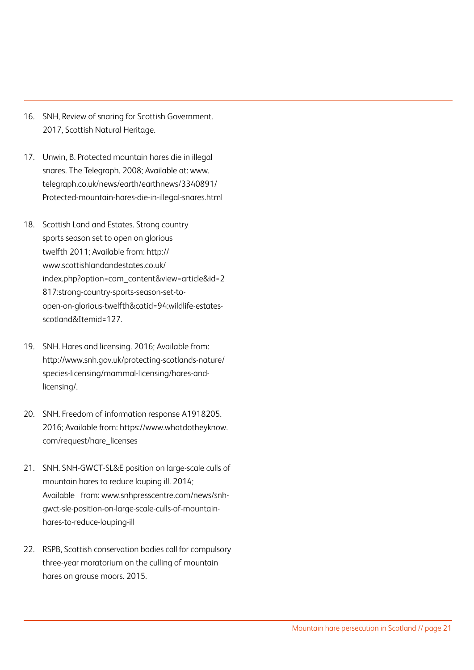- 16. SNH, Review of snaring for Scottish Government. 2017, Scottish Natural Heritage.
- 17. Unwin, B. Protected mountain hares die in illegal snares. The Telegraph. 2008; Available at: www. telegraph.co.uk/news/earth/earthnews/3340891/ Protected-mountain-hares-die-in-illegal-snares.html
- 18. Scottish Land and Estates. Strong country sports season set to open on glorious twelfth 2011; Available from: http:// www.scottishlandandestates.co.uk/ index.php?option=com\_content&view=article&id=2 817:strong-country-sports-season-set-toopen-on-glorious-twelfth&catid=94:wildlife-estatesscotland&Itemid=127.
- 19. SNH. Hares and licensing. 2016; Available from: http://www.snh.gov.uk/protecting-scotlands-nature/ species-licensing/mammal-licensing/hares-andlicensing/.
- 20. SNH. Freedom of information response A1918205. 2016; Available from: https://www.whatdotheyknow. com/request/hare\_licenses
- 21. SNH. SNH-GWCT-SL&E position on large-scale culls of mountain hares to reduce louping ill. 2014; Available from: www.snhpresscentre.com/news/snhgwct-sle-position-on-large-scale-culls-of-mountainhares-to-reduce-louping-ill
- 22. RSPB, Scottish conservation bodies call for compulsory three-year moratorium on the culling of mountain hares on grouse moors. 2015.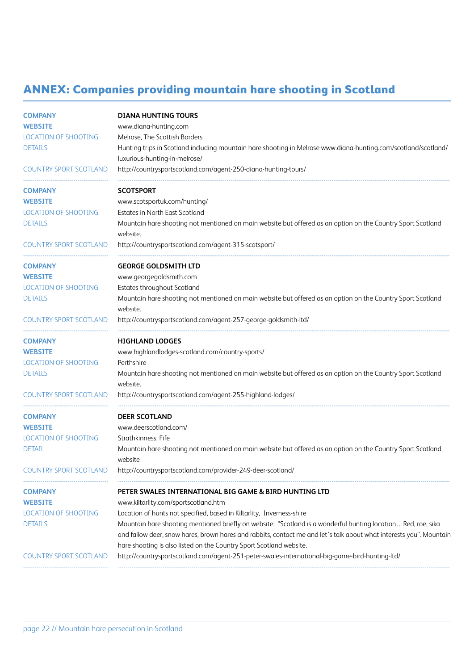# **ANNEX: Companies providing mountain hare shooting in Scotland**

| www.diana-hunting.com<br><b>WEBSITE</b><br>Melrose, The Scottish Borders<br><b>LOCATION OF SHOOTING</b><br><b>DETAILS</b><br>Hunting trips in Scotland including mountain hare shooting in Melrose www.diana-hunting.com/scotland/scotland/<br>luxurious-hunting-in-melrose/<br>http://countrysportscotland.com/agent-250-diana-hunting-tours/<br><b>COUNTRY SPORT SCOTLAND</b><br><b>SCOTSPORT</b><br><b>COMPANY</b><br><b>WEBSITE</b><br>www.scotsportuk.com/hunting/<br>Estates in North East Scotland<br><b>LOCATION OF SHOOTING</b><br><b>DETAILS</b><br>Mountain hare shooting not mentioned on main website but offered as an option on the Country Sport Scotland<br>website.<br>http://countrysportscotland.com/agent-315-scotsport/<br><b>COUNTRY SPORT SCOTLAND</b><br><b>GEORGE GOLDSMITH LTD</b><br><b>COMPANY</b><br><b>WEBSITE</b><br>www.georgegoldsmith.com<br>Estates throughout Scotland<br><b>LOCATION OF SHOOTING</b><br><b>DETAILS</b><br>Mountain hare shooting not mentioned on main website but offered as an option on the Country Sport Scotland |
|-----------------------------------------------------------------------------------------------------------------------------------------------------------------------------------------------------------------------------------------------------------------------------------------------------------------------------------------------------------------------------------------------------------------------------------------------------------------------------------------------------------------------------------------------------------------------------------------------------------------------------------------------------------------------------------------------------------------------------------------------------------------------------------------------------------------------------------------------------------------------------------------------------------------------------------------------------------------------------------------------------------------------------------------------------------------------------|
|                                                                                                                                                                                                                                                                                                                                                                                                                                                                                                                                                                                                                                                                                                                                                                                                                                                                                                                                                                                                                                                                             |
|                                                                                                                                                                                                                                                                                                                                                                                                                                                                                                                                                                                                                                                                                                                                                                                                                                                                                                                                                                                                                                                                             |
|                                                                                                                                                                                                                                                                                                                                                                                                                                                                                                                                                                                                                                                                                                                                                                                                                                                                                                                                                                                                                                                                             |
|                                                                                                                                                                                                                                                                                                                                                                                                                                                                                                                                                                                                                                                                                                                                                                                                                                                                                                                                                                                                                                                                             |
|                                                                                                                                                                                                                                                                                                                                                                                                                                                                                                                                                                                                                                                                                                                                                                                                                                                                                                                                                                                                                                                                             |
|                                                                                                                                                                                                                                                                                                                                                                                                                                                                                                                                                                                                                                                                                                                                                                                                                                                                                                                                                                                                                                                                             |
|                                                                                                                                                                                                                                                                                                                                                                                                                                                                                                                                                                                                                                                                                                                                                                                                                                                                                                                                                                                                                                                                             |
|                                                                                                                                                                                                                                                                                                                                                                                                                                                                                                                                                                                                                                                                                                                                                                                                                                                                                                                                                                                                                                                                             |
|                                                                                                                                                                                                                                                                                                                                                                                                                                                                                                                                                                                                                                                                                                                                                                                                                                                                                                                                                                                                                                                                             |
|                                                                                                                                                                                                                                                                                                                                                                                                                                                                                                                                                                                                                                                                                                                                                                                                                                                                                                                                                                                                                                                                             |
|                                                                                                                                                                                                                                                                                                                                                                                                                                                                                                                                                                                                                                                                                                                                                                                                                                                                                                                                                                                                                                                                             |
|                                                                                                                                                                                                                                                                                                                                                                                                                                                                                                                                                                                                                                                                                                                                                                                                                                                                                                                                                                                                                                                                             |
| website.                                                                                                                                                                                                                                                                                                                                                                                                                                                                                                                                                                                                                                                                                                                                                                                                                                                                                                                                                                                                                                                                    |
| <b>COUNTRY SPORT SCOTLAND</b><br>http://countrysportscotland.com/agent-257-george-goldsmith-ltd/                                                                                                                                                                                                                                                                                                                                                                                                                                                                                                                                                                                                                                                                                                                                                                                                                                                                                                                                                                            |
| <b>HIGHLAND LODGES</b><br><b>COMPANY</b>                                                                                                                                                                                                                                                                                                                                                                                                                                                                                                                                                                                                                                                                                                                                                                                                                                                                                                                                                                                                                                    |
| www.highlandlodges-scotland.com/country-sports/<br>WEBSITE                                                                                                                                                                                                                                                                                                                                                                                                                                                                                                                                                                                                                                                                                                                                                                                                                                                                                                                                                                                                                  |
| <b>LOCATION OF SHOOTING</b><br>Perthshire                                                                                                                                                                                                                                                                                                                                                                                                                                                                                                                                                                                                                                                                                                                                                                                                                                                                                                                                                                                                                                   |
| Mountain hare shooting not mentioned on main website but offered as an option on the Country Sport Scotland<br><b>DETAILS</b><br>website.                                                                                                                                                                                                                                                                                                                                                                                                                                                                                                                                                                                                                                                                                                                                                                                                                                                                                                                                   |
| <b>COUNTRY SPORT SCOTLAND</b><br>http://countrysportscotland.com/agent-255-highland-lodges/                                                                                                                                                                                                                                                                                                                                                                                                                                                                                                                                                                                                                                                                                                                                                                                                                                                                                                                                                                                 |
| <b>DEER SCOTLAND</b><br><b>COMPANY</b>                                                                                                                                                                                                                                                                                                                                                                                                                                                                                                                                                                                                                                                                                                                                                                                                                                                                                                                                                                                                                                      |
| www.deerscotland.com/<br><b>WEBSITE</b>                                                                                                                                                                                                                                                                                                                                                                                                                                                                                                                                                                                                                                                                                                                                                                                                                                                                                                                                                                                                                                     |
| <b>LOCATION OF SHOOTING</b><br>Strathkinness, Fife                                                                                                                                                                                                                                                                                                                                                                                                                                                                                                                                                                                                                                                                                                                                                                                                                                                                                                                                                                                                                          |
| <b>DETAIL</b><br>Mountain hare shooting not mentioned on main website but offered as an option on the Country Sport Scotland<br>website                                                                                                                                                                                                                                                                                                                                                                                                                                                                                                                                                                                                                                                                                                                                                                                                                                                                                                                                     |
| <b>COUNTRY SPORT SCOTLAND</b><br>http://countrysportscotland.com/provider-249-deer-scotland/                                                                                                                                                                                                                                                                                                                                                                                                                                                                                                                                                                                                                                                                                                                                                                                                                                                                                                                                                                                |
| PETER SWALES INTERNATIONAL BIG GAME & BIRD HUNTING LTD<br><b>COMPANY</b>                                                                                                                                                                                                                                                                                                                                                                                                                                                                                                                                                                                                                                                                                                                                                                                                                                                                                                                                                                                                    |
| www.kiltarlity.com/sportscotland.htm<br><b>WEBSITE</b>                                                                                                                                                                                                                                                                                                                                                                                                                                                                                                                                                                                                                                                                                                                                                                                                                                                                                                                                                                                                                      |
| LOCATION OF SHOOTING<br>Location of hunts not specified, based in Kiltarlity, Inverness-shire                                                                                                                                                                                                                                                                                                                                                                                                                                                                                                                                                                                                                                                                                                                                                                                                                                                                                                                                                                               |
| Mountain hare shooting mentioned briefly on website: "Scotland is a wonderful hunting locationRed, roe, sika<br><b>DETAILS</b><br>and fallow deer, snow hares, brown hares and rabbits, contact me and let's talk about what interests you". Mountain                                                                                                                                                                                                                                                                                                                                                                                                                                                                                                                                                                                                                                                                                                                                                                                                                       |
| hare shooting is also listed on the Country Sport Scotland website.<br>http://countrysportscotland.com/agent-251-peter-swales-international-big-game-bird-hunting-ltd/<br><b>COUNTRY SPORT SCOTLAND</b>                                                                                                                                                                                                                                                                                                                                                                                                                                                                                                                                                                                                                                                                                                                                                                                                                                                                     |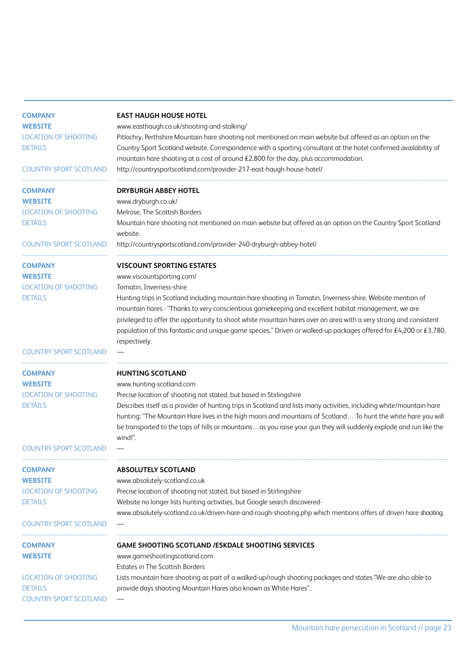| <b>COMPANY</b><br><b>WEBSITE</b>                | <b>EAST HAUGH HOUSE HOTEL</b>                                                                                                                                                                                                                                                                                                                                                                                                                              |
|-------------------------------------------------|------------------------------------------------------------------------------------------------------------------------------------------------------------------------------------------------------------------------------------------------------------------------------------------------------------------------------------------------------------------------------------------------------------------------------------------------------------|
| <b>LOCATION OF SHOOTING</b><br><b>DETAILS</b>   | www.easthaugh.co.uk/shooting-and-stalking/<br>Pitlochry, Perthshire Mountain hare shooting not mentioned on main website but offered as an option on the<br>Country Sport Scotland website. Correspondence with a sporting consultant at the hotel confirmed availability of<br>mountain hare shooting at a cost of around £2,800 for the day, plus accommodation.                                                                                         |
| <b>COUNTRY SPORT SCOTLAND</b>                   | http://countrysportscotland.com/provider-217-east-haugh-house-hotel/                                                                                                                                                                                                                                                                                                                                                                                       |
| <b>COMPANY</b>                                  | <b>DRYBURGH ABBEY HOTEL</b>                                                                                                                                                                                                                                                                                                                                                                                                                                |
| <b>WEBSITE</b>                                  | www.dryburgh.co.uk/                                                                                                                                                                                                                                                                                                                                                                                                                                        |
| <b>LOCATION OF SHOOTING</b>                     | Melrose, The Scottish Borders                                                                                                                                                                                                                                                                                                                                                                                                                              |
| <b>DETAILS</b>                                  | Mountain hare shooting not mentioned on main website but offered as an option on the Country Sport Scotland<br>website.                                                                                                                                                                                                                                                                                                                                    |
| <b>COUNTRY SPORT SCOTLAND</b>                   | http://countrysportscotland.com/provider-240-dryburgh-abbey-hotel/                                                                                                                                                                                                                                                                                                                                                                                         |
| <b>COMPANY</b>                                  | <b>VISCOUNT SPORTING ESTATES</b>                                                                                                                                                                                                                                                                                                                                                                                                                           |
| <b>WEBSITE</b>                                  | www.viscountsporting.com/                                                                                                                                                                                                                                                                                                                                                                                                                                  |
| <b>LOCATION OF SHOOTING</b>                     | Tomatin, Inverness-shire                                                                                                                                                                                                                                                                                                                                                                                                                                   |
| <b>DETAILS</b>                                  | Hunting trips in Scotland including mountain hare shooting in Tomatin, Inverness-shire. Website mention of<br>mountain hares - "Thanks to very conscientious gamekeeping and excellent habitat management, we are<br>privileged to offer the opportunity to shoot white mountain hares over an area with a very strong and consistent<br>population of this fantastic and unique game species." Driven or walked-up packages offered for £4,200 or £3,780, |
| <b>COUNTRY SPORT SCOTLAND</b>                   | respectively.                                                                                                                                                                                                                                                                                                                                                                                                                                              |
| <b>COMPANY</b>                                  | <b>HUNTING SCOTLAND</b>                                                                                                                                                                                                                                                                                                                                                                                                                                    |
| WEBSITE                                         | www.hunting-scotland.com                                                                                                                                                                                                                                                                                                                                                                                                                                   |
| <b>LOCATION OF SHOOTING</b>                     | Precise location of shooting not stated, but based in Stirlingshire                                                                                                                                                                                                                                                                                                                                                                                        |
| <b>DETAILS</b>                                  | Describes itself as a provider of hunting trips in Scotland and lists many activities, including white/mountain hare<br>hunting: "The Mountain Hare lives in the high moors and mountains of Scotland To hunt the white hare you will<br>be transported to the tops of hills or mountainsas you raise your gun they will suddenly explode and run like the<br>wind!".                                                                                      |
| <b>COUNTRY SPORT SCOTLAND</b>                   |                                                                                                                                                                                                                                                                                                                                                                                                                                                            |
| <b>COMPANY</b>                                  | <b>ABSOLUTELY SCOTLAND</b>                                                                                                                                                                                                                                                                                                                                                                                                                                 |
| <b>WEBSITE</b>                                  | www.absolutely-scotland.co.uk                                                                                                                                                                                                                                                                                                                                                                                                                              |
| <b>LOCATION OF SHOOTING</b>                     | Precise location of shooting not stated, but based in Stirlingshire                                                                                                                                                                                                                                                                                                                                                                                        |
| <b>DETAILS</b>                                  | Website no longer lists hunting activities, but Google search discovered-                                                                                                                                                                                                                                                                                                                                                                                  |
| <b>COUNTRY SPORT SCOTLAND</b>                   | www.absolutely-scotland.co.uk/driven-hare-and-rough-shooting.php which mentions offers of driven hare shooting.                                                                                                                                                                                                                                                                                                                                            |
|                                                 |                                                                                                                                                                                                                                                                                                                                                                                                                                                            |
| <b>COMPANY</b>                                  | <b>GAME SHOOTING SCOTLAND /ESKDALE SHOOTING SERVICES</b>                                                                                                                                                                                                                                                                                                                                                                                                   |
| <b>WEBSITE</b>                                  | www.gameshootingscotland.com<br><b>Estates in The Scottish Borders</b>                                                                                                                                                                                                                                                                                                                                                                                     |
|                                                 |                                                                                                                                                                                                                                                                                                                                                                                                                                                            |
| <b>LOCATION OF SHOOTING</b>                     | Lists mountain hare shooting as part of a walked-up/rough shooting packages and states "We are also able to                                                                                                                                                                                                                                                                                                                                                |
| <b>DETAILS</b><br><b>COUNTRY SPORT SCOTLAND</b> | provide days shooting Mountain Hares also known as White Hares".                                                                                                                                                                                                                                                                                                                                                                                           |
|                                                 |                                                                                                                                                                                                                                                                                                                                                                                                                                                            |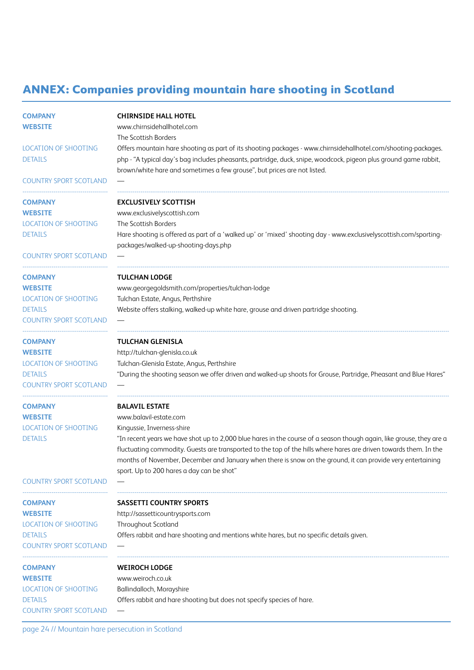# **ANNEX: Companies providing mountain hare shooting in Scotland**

### **COMPANY WEBSITE**

#### LOCATION OF SHOOTING DETAILS

#### COUNTRY SPORT SCOTLAND

-------------------------------------------- **COMPANY WEBSITE** LOCATION OF SHOOTING DETAILS

COUNTRY SPORT SCOTLAND --------------------------------------------

# **COMPANY WEBSITE** LOCATION OF SHOOTING DETAILS COUNTRY SPORT SCOTLAND --------------------------------------------

# **COMPANY**

### **WEBSITE** LOCATION OF SHOOTING DETAILS. COUNTRY SPORT SCOTLAND --------------------------------------------

**COMPANY WEBSITE** LOCATION OF SHOOTING DETAILS

### COUNTRY SPORT SCOTLAND --------------------------------------------

# **COMPANY WEBSITE** LOCATION OF SHOOTING DETAILS COUNTRY SPORT SCOTLAND --------------------------------------------

### **COMPANY WEBSITE** LOCATION OF SHOOTING DETAILS COUNTRY SPORT SCOTLAND

#### **CHIRNSIDE HALL HOTEL**

www.chirnsidehallhotel.com The Scottish Borders

Offers mountain hare shooting as part of its shooting packages - www.chirnsidehallhotel.com/shooting-packages. php - "A typical day's bag includes pheasants, partridge, duck, snipe, woodcock, pigeon plus ground game rabbit, brown/white hare and sometimes a few grouse", but prices are not listed.

---------------------------------------------------------------------------------------------------------------------------------------------------------------------------

### **EXCLUSIVELY SCOTTISH**

—

—

www.exclusivelyscottish.com The Scottish Borders Hare shooting is offered as part of a 'walked up' or 'mixed' shooting day - www.exclusivelyscottish.com/sportingpackages/walked-up-shooting-days.php

#### --------------------------------------------------------------------------------------------------------------------------------------------------------------------------- **TULCHAN LODGE**

www.georgegoldsmith.com/properties/tulchan-lodge Tulchan Estate, Angus, Perthshire Website offers stalking, walked-up white hare, grouse and driven partridge shooting. —

### **TULCHAN GLENISLA**

http://tulchan-glenisla.co.uk Tulchan-Glenisla Estate, Angus, Perthshire "During the shooting season we offer driven and walked-up shoots for Grouse, Partridge, Pheasant and Blue Hares" —

---------------------------------------------------------------------------------------------------------------------------------------------------------------------------

---------------------------------------------------------------------------------------------------------------------------------------------------------------------------

### **BALAVIL ESTATE**

www.balavil-estate.com Kingussie, Inverness-shire

"In recent years we have shot up to 2,000 blue hares in the course of a season though again, like grouse, they are a fluctuating commodity. Guests are transported to the top of the hills where hares are driven towards them. In the months of November, December and January when there is snow on the ground, it can provide very entertaining sport. Up to 200 hares a day can be shot"

#### -------------------------------------------------------------------------------------------------------------------------------------------------------------------------- **SASSETTI COUNTRY SPORTS**

http://sassetticountrysports.com Throughout Scotland Offers rabbit and hare shooting and mentions white hares, but no specific details given. —

#### --------------------------------------------------------------------------------------------------------------------------------------------------------------------------- **WEIROCH LODGE**

—

www.weiroch.co.uk Ballindalloch, Morayshire Offers rabbit and hare shooting but does not specify species of hare. —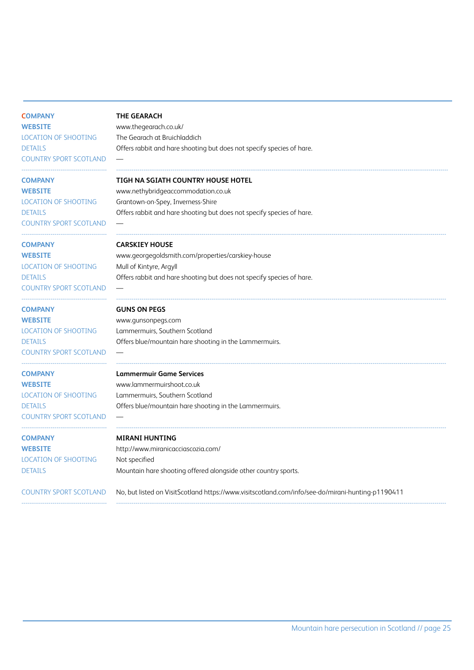LOCATION OF SHOOTING DETAILS COUNTRY SPORT SCOTLAND -------------------------------------------- **COMPANY WEBSITE**

LOCATION OF SHOOTING DETAILS COUNTRY SPORT SCOTLAND --------------------------------------------

# **COMPANY WEBSITE**

**COMPANY WEBSITE**

LOCATION OF SHOOTING DETAILS COUNTRY SPORT SCOTLAND --------------------------------------------

**COMPANY WEBSITE** LOCATION OF SHOOTING DETAILS COUNTRY SPORT SCOTLAND --------------------------------------------

**COMPANY WEBSITE** LOCATION OF SHOOTING DETAILS COUNTRY SPORT SCOTLAND --------------------------------------------

**COMPANY WEBSITE** LOCATION OF SHOOTING DETAILS

COUNTRY SPORT SCOTLAND

#### **THE GEARACH**

—

www.thegearach.co.uk/ The Gearach at Bruichladdich Offers rabbit and hare shooting but does not specify species of hare.

---------------------------------------------------------------------------------------------------------------------------------------------------------------------------

--------------------------------------------------------------------------------------------------------------------------------------------------------------------------

--------------------------------------------------------------------------------------------------------------------------------------------------------------------------

--------------------------------------------------------------------------------------------------------------------------------------------------------------------------

### **TIGH NA SGIATH COUNTRY HOUSE HOTEL**

www.nethybridgeaccommodation.co.uk Grantown-on-Spey, Inverness-Shire Offers rabbit and hare shooting but does not specify species of hare. —

### **CARSKIEY HOUSE**

www.georgegoldsmith.com/properties/carskiey-house Mull of Kintyre, Argyll Offers rabbit and hare shooting but does not specify species of hare. —

#### **GUNS ON PEGS**

—

—

www.gunsonpegs.com Lammermuirs, Southern Scotland Offers blue/mountain hare shooting in the Lammermuirs.

#### -------------------------------------------------------------------------------------------------------------------------------------------------------------------------- **Lammermuir Game Services**

www.lammermuirshoot.co.uk Lammermuirs, Southern Scotland Offers blue/mountain hare shooting in the Lammermuirs.

#### **MIRANI HUNTING**

http://www.miranicacciascozia.com/ Not specified Mountain hare shooting offered alongside other country sports.

No, but listed on VisitScotland https://www.visitscotland.com/info/see-do/mirani-hunting-p1190411 -------------------------------------------------------------------------------------------------------------------------------------------------------------------------- --------------------------------------------